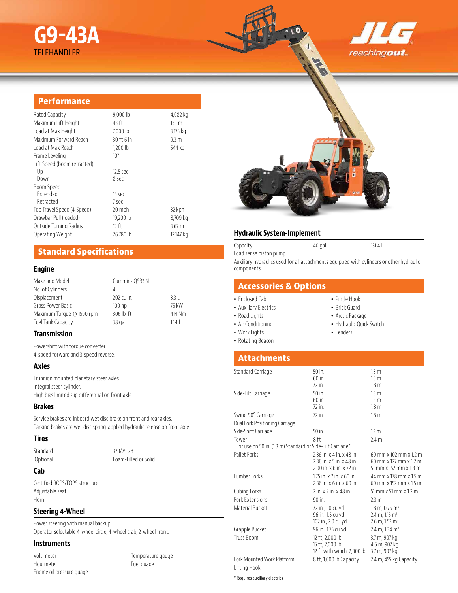# **G9-43A** TELEHANDLER





## **Performance**

| Rated Capacity              | $9,000$ lb   | 4,082 kg          |
|-----------------------------|--------------|-------------------|
| Maximum Lift Height         | 43 ft        | 13.1 <sub>m</sub> |
| Load at Max Height          | 7,000 lb     | 3,175 kg          |
| Maximum Forward Reach       | 30 ft 6 in   | 9.3 <sub>m</sub>  |
| Load at Max Reach           | 1,200 lb     | 544 kg            |
| Frame Leveling              | $10^{\circ}$ |                   |
| Lift Speed (boom retracted) |              |                   |
| Up                          | 12.5 sec     |                   |
| Down                        | 8 sec        |                   |
| Boom Speed                  |              |                   |
| Extended                    | 15 sec       |                   |
| Retracted                   | 7 sec        |                   |
| Top Travel Speed (4-Speed)  | 20 mph       | 32 kph            |
| Drawbar Pull (loaded)       | 19,200 lb    | 8,709 kg          |
| Outside Turning Radius      | $12$ ft      | 3.67 <sub>m</sub> |
| Operating Weight            | 26,780 lb    | 12,147 kg         |
|                             |              |                   |

# **Standard Specifications**

#### **Engine**

| Cummins QSB3.3L   |        |
|-------------------|--------|
| 4                 |        |
| 202 cu in.        | $3.3$  |
| 100 <sub>hp</sub> | 75 kW  |
| 306 lb-ft         | 414 Nm |
| 38 gal            | 144    |
|                   |        |

# **Transmission**

Powershift with torque converter.

4-speed forward and 3-speed reverse.

## **Axles**

Trunnion mounted planetary steer axles. Integral steer cylinder. High bias limited slip differential on front axle.

#### **Brakes**

Service brakes are inboard wet disc brake on front and rear axles. Parking brakes are wet disc spring-applied hydraulic release on front axle.

#### **Tires**

Standard 370/75-28

•Optional Foam-Filled or Solid

# **Cab**

Certified ROPS/FOPS structure Adjustable seat Horn

#### **Steering 4-Wheel**

Power steering with manual backup. Operator selectable 4-wheel circle, 4-wheel crab, 2-wheel front.

# **Instruments**

Volt meter Hourmeter Engine oil pressure guage Temperature gauge Fuel guage

## **Hydraulic System-Implement**

Capacity 40 gal 151.4 L Load sense piston pump. Auxiliary hydraulics used for all attachments equipped with cylinders or other hydraulic components.

# **Accessories & Options**

#### • Enclosed Cab

- Auxiliary Electrics
- Road Lights
- Air Conditioning
- Work Lights
- Rotating Beacon
- Pintle Hook
- Brick Guard
- 
- Hydraulic Quick Switch
- Fenders

# **Attachments**

| Standard Carriage                                         | 50 in.                     | 13 <sub>m</sub>                       |
|-----------------------------------------------------------|----------------------------|---------------------------------------|
|                                                           | $60$ in.                   | 1.5 <sub>m</sub>                      |
|                                                           | $72$ in.                   | 1.8 <sub>m</sub>                      |
| Side-Tilt Carriage                                        | $50$ in.                   | 13 <sub>m</sub>                       |
|                                                           | $60$ in.                   | 1.5 <sub>m</sub>                      |
|                                                           | $72$ in.                   | 1.8 <sub>m</sub>                      |
| Swing 90° Carriage                                        | 72 in.                     | 1.8 <sub>m</sub>                      |
| Dual Fork Positioning Carriage                            |                            |                                       |
| Side-Shift Carriage                                       | $50$ in.                   | 13 <sub>m</sub>                       |
| Tower                                                     | 8 ft                       | 2.4 <sub>m</sub>                      |
| For use on 50 in. (1.3 m) Standard or Side-Tilt Carriage* |                            |                                       |
| Pallet Forks                                              | 2.36 in. x 4 in. x 48 in.  | 60 mm x 102 mm x 1.2 m                |
|                                                           | 2.36 in. x 5 in. x 48 in.  | 60 mm x 127 mm x 1.2 m                |
|                                                           | 2.00 in. x 6 in. x 72 in.  | 51 mm x 152 mm x 1.8 m                |
| <b>Lumber Forks</b>                                       | 1.75 in. x 7 in. x 60 in.  | 44 mm x 178 mm x 1.5 m                |
|                                                           | 2.36 in. x 6 in. x 60 in.  | 60 mm x 152 mm x 1.5 m                |
| Cubing Forks                                              | 2 in. x 2 in. x 48 in.     | $51$ mm x $51$ mm x $1.2$ m           |
| <b>Fork Extensions</b>                                    | 90 in.                     | 2.3 m                                 |
| Material Bucket                                           | 72 in., 1.0 cu yd          | $1.8 \text{ m}$ , 0.76 m <sup>3</sup> |
|                                                           | 96 in., 1.5 cu yd          | $2.4 \text{ m}$ , 1.15 m <sup>3</sup> |
|                                                           | 102 in., 2.0 cu yd         | $2.6$ m, 1.53 m <sup>3</sup>          |
| Grapple Bucket                                            | 96 in., 1.75 cu yd         | 2.4 m, 1.34 m <sup>3</sup>            |
| <b>Truss Boom</b>                                         | 12 ft, 2,000 lb            | 3.7 m, 907 kg                         |
|                                                           | 15 ft, 2,000 lb            | 4.6 m, 907 kg                         |
|                                                           | 12 ft with winch, 2,000 lb | 3.7 m, 907 kg                         |
| Fork Mounted Work Platform                                | 8 ft, 1,000 lb Capacity    | 2.4 m, 455 kg Capacity                |
| Lifting Hook                                              |                            |                                       |

\* Requires auxiliary electrics

• Arctic Package